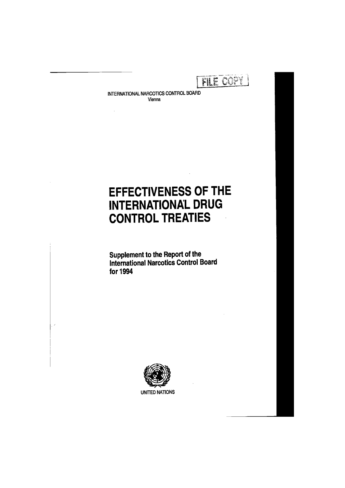FILE COPY

**INTERNATIONAL NARCOTICS CONTROL BOARD Vienna** 

# EFFECTIVENESS OF THE INTERNATIONAL DRUG CONTROL TREATIES

Supplement to the Report of the International Narcotics Control Board for 1994



 $\overline{\lambda}$ 

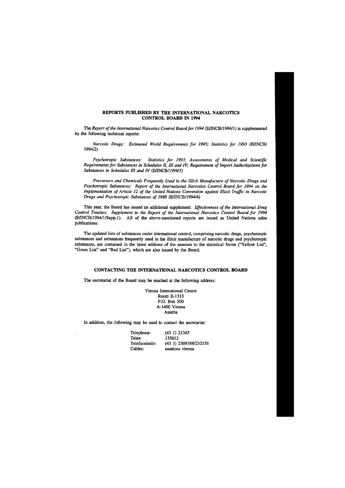# REPORTS PUBLISHED BY THE INTERNATIONAL NARCOTICS CONTROL BOARD IN 1994

The *Report of the International Narcotics Control Board for 1994* (E/INCB/1994/1) is supplemented by the following technical reports:

*Psychotropic Substances: Statistics for 1993; Assessments of Medical and Scientific Requirements for Substances in Schedules II, III and TV; Requirement of Import Authorizations for Substances in Schedules III and IV* (E/INCB/1994/3)

*Precursors and Chemicals Frequently Used in the Illicit Manufacture of Narcotic Drugs and Psychotropic Substances: Report of the International Narcotics Control Board for 1994 on the Implementation of Article 12 of the United Nations Convention against Illicit Traffic in Narcotic Drugs and Psychotropic Substances of 1988* (E/INCB/1994/4)

*Narcotic Drugs: Estimated World Requirements for 1995; Statistics for 1993* (E/INCB/ 1994/2)

This year, the Board has issued an additional supplement: *Effectiveness of the International Drug Control Treaties: Supplement to the Report of the International Narcotics Control Board for 1994*  (E/INCB/1994/1/Supp.l). All of the above-mentioned reports are issued as United Nations sales publications.

The updated lists of substances under international control, comprising narcotic drugs, psychotropic substances and substances frequently used in the illicit manufacture of narcotic drugs and psychotropic substances, are contained in the latest editions of the annexes to the statistical forms ("Yellow List", "Green List" and "Red List"), which are also issued by the Board.

# CONTACTING THE INTERNATIONAL NARCOTICS CONTROL BOARD

The secretariat of the Board may be reached at the following address:

Vienna International Centre Room E-1313 P.O. Box 500 A-1400 Vienna Austria

In addition, the following may be used to contact the secretariat:

| Telephone:     | (43 1) 21345          |
|----------------|-----------------------|
| Telex          | 135612                |
| Telefacsimile: | (43 1) 2309788/232156 |
| Cables:        | unations vienna       |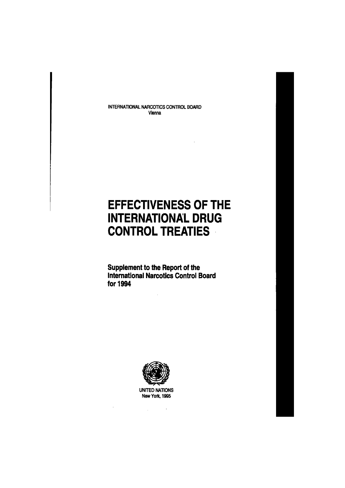**INTERNATIONAL NARCOTICS CONTROL BOARD Vienna** 

# EFFECTIVENESS OF THE INTERNATIONAL DRUG CONTROL TREATIES

Supplement to the Report of the International Narcotics Control Board for 1994



**UNITED NATIONS New York, 1995** 

 $\mathcal{L}_{\text{max}}$  and  $\mathcal{L}_{\text{max}}$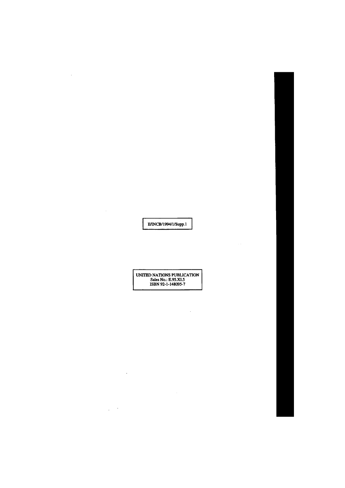E/INCB/1994/l/Supp. 1

 $\sim 100$ 

 $\mathcal{L}(\mathcal{L}^{\mathcal{L}})$  , and  $\mathcal{L}(\mathcal{L}^{\mathcal{L}})$ 

 $\sim 10^6$ 

UNTTED NATIONS PUBLICATION Sales No.: E.95.XI.5 ISBN 92-1-148095-7

 $\mathcal{L}^{\text{max}}_{\text{max}}$  and  $\mathcal{L}^{\text{max}}_{\text{max}}$ 

 $\sim 10^7$ 

 $\label{eq:2.1} \frac{1}{\sqrt{2}}\int_{\mathbb{R}^3}\frac{1}{\sqrt{2}}\left(\frac{1}{\sqrt{2}}\right)^2\frac{1}{\sqrt{2}}\left(\frac{1}{\sqrt{2}}\right)^2\frac{1}{\sqrt{2}}\left(\frac{1}{\sqrt{2}}\right)^2\frac{1}{\sqrt{2}}\left(\frac{1}{\sqrt{2}}\right)^2.$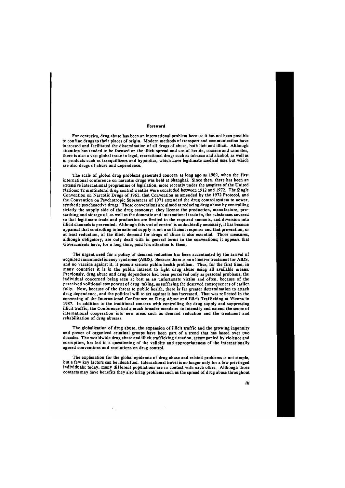#### **Foreword**

For centuries, drug abuse has been an international problem because it has not been possible to confine drugs to their places of origin. Modern methods of transport and communication have increased and facilitated the dissemination of all drugs of abuse, both licit and illicit. Although attention has tended to be focused on the illicit spread and use of heroin, cocaine and cannabis, there is also a vast global trade in legal, recreational drugs such as tobacco and alcohol, as well as in products such as tranquillizers and hypnotics, which have legitimate medical uses but which are also drugs of abuse and dependence.

The scale of global drug problems generated concern as long ago as 1909, when the first international conference on narcotic drugs was held at Shanghai. Since then, there has been an extensive international programme of legislation, more recently under the auspices of the United Nations; 12 multilateral drug control treaties were concluded between 1912 and 1972. The Single Convention on Narcotic Drugs of 1961, that Convention as amended by the 1972 Protocol, and the Convention on Psychotropic Substances of 1971 extended the drug control system to newer, synthetic psychoactive drugs. Those conventions are aimed at reducing drug abuse by controlling strictly the supply side of the drug economy: they license the production, manufacture, prescribing and storage of, as well as the domestic and international trade in, the substances covered so that legitimate trade and production are limited to the required amounts, and diversion into illicit channels is prevented. Although this sort of control is undoubtedly necessary, it has become apparent that controlling international supply is not a sufficient response and that prevention, or at least reduction, of the illicit demand for drugs of abuse is also essential. Those measures, although obligatory, are only dealt with in general terms in the conventions; it appears that Governments have, for a long time, paid less attention to them.

The urgent need for a policy of demand reduction has been accentuated by the arrival of acquired immunodeficiency syndrome (AIDS). Because there is no effective treatment for AIDS, and no vaccine against it, it poses a serious public health problem. Thus, for the first time, in many countries it is in the public interest to fight drug abuse using all available means. Previously, drug abuse and drug dependence had been perceived only as personal problems, the individual concerned being seen at best as an unfortunate victim and often, because of the perceived volitional component of drug-taking, as suffering the deserved consequences of earlier folly. Now, because of the threat to public health, there is far greater determination to attack drug dependence, and the political will to act against it has increased. That was reflected in the convening of the International Conference on Drug Abuse and Illicit Trafficking at Vienna in 1987. In addition to the traditional concern with controlling the drug supply and suppressing illicit traffic, the Conference had a much broader mandate: to intensify and extend the scope of international cooperation into new areas such as demand reduction and the treatment and rehabilitation of drug abusers.

The globalization of drug abuse, the expansion of illicit traffic and the growing ingenuity and power of organized criminal groups have been part of a trend that has lasted over two decades. The worldwide drug abuse and illicit trafficking situation, accompanied by violence and corruption, has led to a questioning of the validity and appropriateness of the internationally agreed conventions and resolutions on drug control.

The explanation for the global epidemic of drug abuse and related problems is not simple, but a few key factors can be identified. International travel is no longer only for a few privileged individuals; today, many different populations are in contact with each other. Although those

contacts may have benefits they also bring problems such as the spread of drug abuse throughout

**til**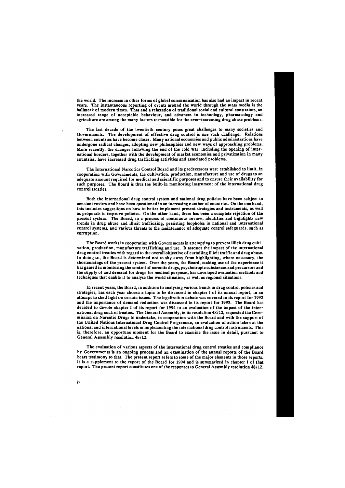the world. The increase in other forms of global communication has also had an impact in recent years. The instantaneous reporting of events around the world through the mass media is the hallmark of modern times. That and a relaxation of traditional social and cultural constraints, an increased range of acceptable behaviour, and advances in technology, pharmacology and agriculture are among the many factors responsible for the ever-increasing drug abuse problems.

The last decade of the twentieth century poses great challenges to many societies and Governments. The development of effective drug control is one such challenge. Relations between countries have become closer. Many national economies and public administrations have undergone radical changes, adopting new philosophies and new ways of approaching problems. More recently, the changes following the end of the cold war, including the opening of international borders, together with the development of market economies and privatization in many countries, have increased drug trafficking activities and associated problems.

The International Narcotics Control Board and its predecessors were established to limit, in cooperation with Governments, the cultivation, production, manufacture and use of drugs to an adequate amount required for medical and scientific purposes and to ensure their availability for such purposes. The Board is thus the built-in monitoring instrument of the international drug control treaties.

Both the international drug control system and national drug policies have been subject to constant review and have been questioned in an increasing number of countries. On the one hand, this includes suggestions on how to better implement present strategies and instruments, as well as proposals to improve policies. On the other hand, there has been a complete rejection of the present system. The Board, in a process of continuous review, identifies and highlights new trends in drug abuse and illicit trafficking, persisting loopholes in national and international control systems, and various threats to the maintenance of adequate control safeguards, such as corruption.

The evaluation of various aspects of the international drug control treaties and compliance by Governments is an ongoing process and an examination of the annual reports of the Board bears testimony to that. The present report refers to some of the major elements in those reports. It is a supplement to the report of the Board for 1994 and is summarized in chapter I of that report. The present report constitutes one of the responses to General Assembly resolution 48/12. iv

The Board works in cooperation with Governments in attempting to prevent illicit drug cultivation, production, manufacture trafficking and use. It assesses the impact of the international drug control treaties with regard to the overall objective of curtailing illicit traffic and drug abuse. In doing so, the Board is determined not to shy away from highlighting, where necessary, the shortcomings of the present system. Over the years, the Board, making use of the experience it has gained in monitoring the control of narcotic drugs, psychotropic substances and precursors and the supply of and demand for drugs for medical purposes, has developed evaluation methods and techniques that enable it to analyse the world situation, as well as regional situations.

In recent years, the Board, in addition to analysing various trends in drug control policies and strategies, has each year chosen a topic to be discussed in chapter I of its annual report, in an attempt to shed light on certain issues. The legalization debate was covered in its report for 1992 and the importance of demand reduction was discussed in its report for 1993. The Board has decided to devote chapter I of its report for 1994 to an evaluation of the impact of the international drug control treaties. The General Assembly, in its resolution 48/12, requested the Commission on Narcotic Drugs to undertake, in cooperation with the Board and with the support of the United Nations International Drug Control Programme, an evaluation of action taken at the national and international levels in implementing the international drug control instruments. This is, therefore, an opportune moment for the Board to examine the issue in detail, pursuant to General Assembly resolution 48/12.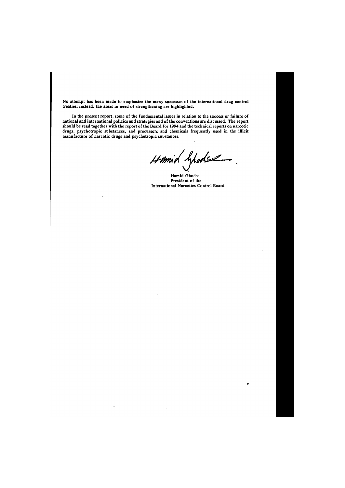No attempt has been made to emphasize the many successes of the international drug control treaties; instead, the areas in need of strengthening are highlighted.

In the present report, some of the fundamental issues in relation to the success or failure of national and international policies and strategies and of the conventions are discussed. The report should be read together with the report of the Board for 1994 and the technical reports on narcotic drugs, psychotropic substances, and precursors and chemicals frequently used in the illicit manufacture of narcotic drugs and psychotropic substances.

Homid Ghodse

Hamid Ghodse President of the International Narcotics Control Board

**v**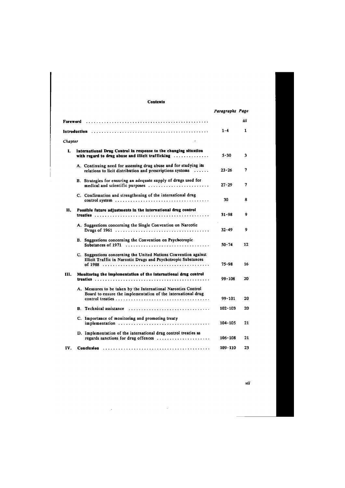# **Contents**

*vii*  $\mathcal{L}(\mathcal{A})$  and  $\mathcal{L}(\mathcal{A})$  .  $\sim$ 

|          |                                                                                                                                              | Paragraphs Page |     |
|----------|----------------------------------------------------------------------------------------------------------------------------------------------|-----------------|-----|
| Foreword |                                                                                                                                              |                 | iii |
|          |                                                                                                                                              | $1 - 4$         | 1   |
| Chapter  |                                                                                                                                              |                 |     |
| L.       | International Drug Control in response to the changing situation<br>with regard to drug abuse and illicit trafficking $\dots\dots\dots\dots$ | $5 - 30$        | 3   |
|          | A. Continuing need for assessing drug abuse and for studying its<br>relations to licit distribution and prescriptions systems                | $23 - 26$       | 7   |
|          | B. Strategies for ensuring an adequate supply of drugs used for<br>medical and scientific purposes                                           | $27 - 29$       | 7   |
|          | C. Confirmation and strengthening of the international drug                                                                                  | 30              | 8   |
| Н.       | Possible future adjustments in the international drug control                                                                                | $31 - 98$       | 9   |
|          | A. Suggestions concerning the Single Convention on Narcotic                                                                                  | $32 - 49$       | 9   |
|          | B. Suggestions concerning the Convention on Psychotropic                                                                                     | $50 - 74$       | 12  |
|          | C. Suggestions concerning the United Nations Convention against<br>Illicit Traffic in Narcotic Drugs and Psychotropic Substances             | $75 - 98$       | 16  |
| III.     | Monitoring the implementation of the international drug control                                                                              | $99 - 108$      | 20  |
|          | A. Measures to be taken by the International Narcotics Control<br>Board to ensure the implementation of the international drug               | 99-101          | 20  |
|          | <b>B.</b> Technical assistance                                                                                                               | 102-103         | 20  |
|          | C. Importance of monitoring and promoting treaty                                                                                             | 104-105         | 21  |
|          | D. Implementation of the international drug control treaties as<br>regards sanctions for drug offences                                       | 106-108         | 21  |
| IV.      |                                                                                                                                              | 109-110         | 23  |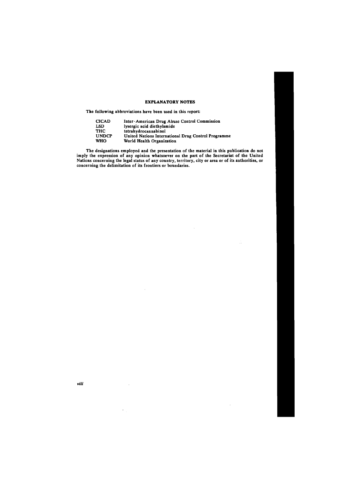# **EXPLANATORY NOTES**

The following abbreviations have been used in this report:

 $\sim$ 

| <b>CICAD</b> | Inter-American Drug Abuse Control Commission        |
|--------------|-----------------------------------------------------|
| <b>LSD</b>   | lysergic acid diethylamide                          |
| <b>THC</b>   | tetrahydrocannabinol                                |
| <b>UNDCP</b> | United Nations International Drug Control Programme |
| <b>WHO</b>   | World Health Organization                           |

The designations employed and the presentation of the material in this publication do not imply the expression of any opinion whatsoever on the part of the Secretariat of the United Nations concerning the legal status of any country, territory, city or area or of its authorities, or concerning the delimitation of its frontiers or boundaries.

 $\ddot{\phantom{1}}$ 

Ŵ

**viii**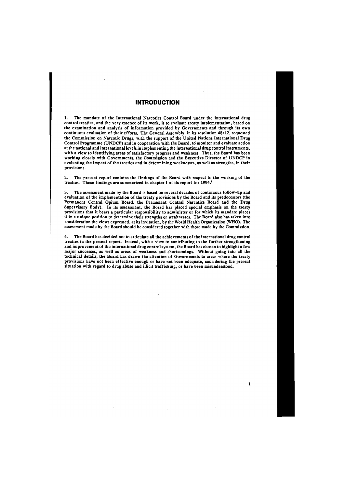2. The present report contains the findings of the Board with respect to the working of the treaties. Those findings are summarized in chapter I of its report for 1994.<sup>1</sup>

# **INTRODUCTION**

1. The mandate of the International Narcotics Control Board under the international drug control treaties, and the very essence of its work, is to evaluate treaty implementation, based on the examination and analysis of information provided by Governments and through its own continuous evaluation of their efforts. The General Assembly, in its resolution 48/12, requested the Commission on Narcotic Drugs, with the support of the United Nations International Drug Control Programme (UNDCP) and in cooperation with the Board, to monitor and evaluate action at the national and international levels in implementing the international drug control instruments, with a view to identifying areas of satisfactory progress and weakness. Thus, the Board has been working closely with Governments, the Commission and the Executive Director of UNDCP in evaluating the impact of the treaties and in determining weaknesses, as well as strengths, in their provisions.

3. The assessment made by the Board is based on several decades of continuous follow-up and evaluation of the implementation of the treaty provisions by the Board and its predecessors (the Permanent Central Opium Board, the Permanent Central Narcotics Board and the Drug Supervisory Body). In its assessment, the Board has placed special emphasis on the treaty provisions that it bears a particular responsibility to administer or for which its mandate places it in a unique position to determine their strengths or weaknesses. The Board also has taken into consideration the views expressed, at its invitation, by the World Health Organization (WHO). The assessment made by the Board should be considered together with those made by the Commission.

4. The Board has decided not to articulate all the achievements of the international drug control treaties in the present report. Instead, with a view to contributing to the further strengthening and improvement of the international drug control system, the Board has chosen to highlight a few major successes, as well as areas of weakness and shortcomings. Without going into all the technical details, the Board has drawn the attention of Governments to areas where the treaty provisions have not been effective enough or have not been adequate, considering the present situation with regard to drug abuse and illicit trafficking, or have been misunderstood.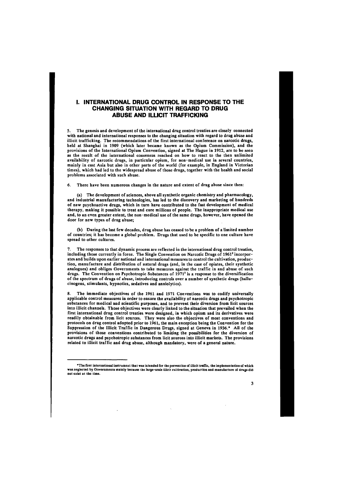# I. INTERNATIONAL DRUG CONTROL IN RESPONSE TO THE CHANGING SITUATION WITH REGARD TO DRUG ABUSE AND ILLICIT TRAFFICKING

5. The genesis and development of the international drug control treaties are closely connected with national and international responses to the changing situation with regard to drug abuse and illicit trafficking. The recommendations of the first international conference on narcotic drugs, held at Shanghai in 1909 (which later became known as the Opium Commission), and the provisions of the International Opium Convention, signed at The Hague in 1912, are to be seen as the result of the international consensus reached on how to react to the then unlimited availability of narcotic drugs, in particular opium, for non-medical use in several countries, mainly in east Asia but also in other parts of the world (for example, in England in Victorian times), which had led to the widespread abuse of those drugs, together with the health and social problems associated with such abuse.

6. There have been numerous changes in the nature and extent of drug abuse since then:

(a) The development of sciences, above all synthetic organic chemistry and pharmacology, and industrial manufacturing technologies, has led to the discovery and marketing of hundreds of new psychoactive drugs, which in turn have contributed to the fast development of medical therapy, making it possible to treat and cure millions of people. The inappropriate medical use and, to an even greater extent, the non-medical use of the same drugs, however, have opened the door for new types of drug abuse;

(b) During the last few decades, drug abuse has ceased to be a problem of a limited number of countries; it has become a global problem. Drugs that used to be specific to one culture have spread to other cultures.

7. The responses to that dynamic process are reflected in the international drug control treaties, including those currently in force. The Single Convention on Narcotic Drugs of 1961<sup>2</sup> incorporates and builds upon earlier national and international measures to control the cultivation, production, manufacture and distribution of natural drugs (and, in the case of opiates, their synthetic analogues) and obliges Governments to take measures against the traffic in and abuse of such drugs. The Convention on Psychotropic Substances of  $1971<sup>3</sup>$  is a response to the diversification of the spectrum of drugs of abuse, introducing controls over a number of synthetic drugs (hallucinogens, stimulants, hypnotics, sedatives and anxiolytics).

8. The immediate objectives of the 1961 and 1971 Conventions was to codify universally applicable control measures in order to ensure the availability of narcotic drugs and psychotropic substances for medical and scientific purposes, and to prevent their diversion from licit sources into illicit channels. Those objectives were clearly linked to the situation that prevailed when the first international drug control treaties were designed, in which opium and its derivatives were readily obtainable from licit sources. They were also the objectives of most conventions and protocols on drug control adopted prior to 1961, the main exception being the Convention for the Suppression of the Illicit Traffic in Dangerous Drugs, signed at Geneva in 1936.\* All of the provisions of those conventions contributed to limiting the possibilities for the diversion of narcotic drugs and psychotropic substances from licit sources into illicit markets. The provisions related to illicit traffic and drug abuse, although mandatory, were of a general nature.

was neglected by Governments mainly because the large-scale illicit cultivation, production and manufacture of drugs did not exist at the time.

<sup>\*</sup>The first international instrument that was intended for the prevention of illicit traffic, the implementation of which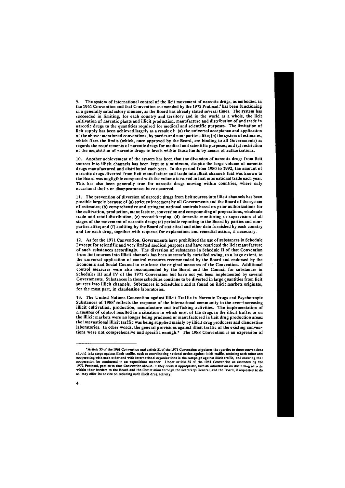9. The system of international control of the licit movement of narcotic drugs, as embodied in the 1961 Convention and that Convention as amended by the 1972 Protocol,<sup>4</sup> has been functioning in a generally satisfactory manner, as the Board has already stated several times. The system has succeeded in limiting, for each country and territory and in the world as a whole, the licit cultivation of narcotic plants and illicit production, manufacture and distribution of and trade in narcotic drugs to the quantities required for medical and scientific purposes. The limitation of licit supply has been achieved largely as a result of: (a) the universal acceptance and application of the above-mentioned conventions, by parties and non-parties alike; (b) the system of estimates, which fixes the limits (which, once approved by the Board, are binding to all Governments) as regards the requirements of narcotic drugs for medical and scientific purposes; and (c) restriction of the acquisition of narcotic drugs to levels within those limits by means of authorizations.

10. Another achievement of the system has been that the diversion of narcotic drugs from licit sources into illicit channels has been kept to a minimum, despite the large volume of narcotic drugs manufactured and distributed each year. In the period from 1980 to 1992, the amount of narcotic drugs diverted from licit manufacture and trade into illicit channels that was known to the Board was negligible compared with the volume involved in licit international trade each year. This has also been generally true for narcotic drugs moving within countries, where only occasional thefts or disappearances have occurred.

11. The prevention of diversion of narcotic drugs from licit sources into illicit channels has been possible largely because of (a) strict enforcement by all Governments and the Board of the system of estimates; (b) comprehensive and stringent national controls based on prior authorizations for the cultivation, production, manufacture, conversion and compounding of preparations, wholesale trade and retail distribution; (c) record-keeping; (d) domestic monitoring or supervision at all stages of the movement of narcotic drugs; (e) periodic reporting to the Board by parties and nonparties alike; and (f) auditing by the Board of statistical and other data furnished by each country and for each drug, together with requests for explanations and remedial action, if necessary.

12. As for the 1971 Convention, Governments have prohibited the use of substances in Schedule I except for scientific and very limited medical purposes and have restricted the licit manufacture of such substances accordingly. The diversion of substances in Schedule II of that Convention from licit sources into illicit channels has been successfully curtailed owing, to a large extent, to the universal application of control measures recommended by the Board and endorsed by the Economic and Social Council to reinforce the original measures of the Convention. Additional control measures were also recommended by the Board and the Council for substances in Schedules III and IV of the 1971 Convention but have not yet been implemented by several Governments. Substances in those schedules continue to be diverted in large quantities from licit sources into illicit channels. Substances in Schedules I and II found on illicit markets originate, for the most part, in clandestine laboratories.

13. The United Nations Convention against Illicit Traffic in Narcotic Drugs and Psychotropic Substances of 1988<sup>5</sup> reflects the response of the international community to the ever-increasing illicit cultivation, production, manufacture and trafficking activities. The implementation of measures of control resulted in a situation in which most of the drugs in the illicit traffic or on the illicit markets were no longer being produced or manufactured in licit drug production areas: the international illicit traffic was being supplied mainly by illicit drug producers and clandestine laboratories. In other words, the general provisions against illicit traffic of the existing conventions were not comprehensive and specific enough.\* The 1988 Convention is an expression of

within their borders to the Board and the Commission through the Secretary-General, and the Board, if requested to do so, may offer its advice on reducing such illicit drug activity.

<sup>&#</sup>x27;Article 35 of the 1961 Convention and article 21 of the 1971 Convention stipulates that parties to those conventions should take steps against illicit traffic, such as coordinating national action against illicit traffic, assisting each other and cooperating with each other and with international organizations in the campaign against illicit traffic, and ensuring that cooperation be conducted in an expeditious manner. Under article 35 of the 1961 Convention as amended by the 1972 Protocol, parties to that Convention should, if they deem it appropriate, furnish information on illicit drug activity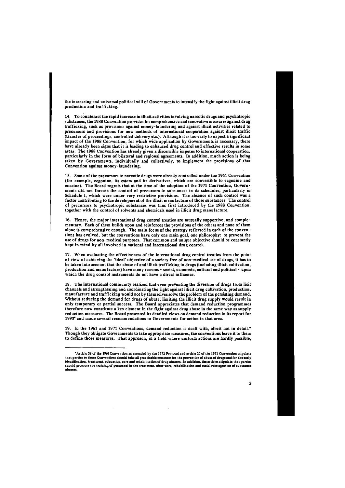the increasing and universal political will of Governments to intensify the fight against illicit drug production and trafficking.

14. To counteract the rapid increase in illicit activities involving narcotic drugs and psychotropic substances, the 1988 Convention provides for comprehensive and innovative measures against drug trafficking, such as provisions against money-laundering and against illicit activities related to precursors and provisions for new methods of international cooperation against illicit traffic (transfer of proceedings, controlled delivery etc.). Although it is too early to expect a significant impact of the 1988 Convention, for which wide application by Governments is necessary, there have already been signs that it is leading to enhanced drug control and effective results in some areas. The 1988 Convention has already given a discernible impetus to international cooperation, particularly in the form of bilateral and regional agreements. In addition, much action is being taken by Governments, individually and collectively, to implement the provisions of that Convention against money-laundering.

15. Some of the precursors to narcotic drugs were already controlled under the 1961 Convention (for example, ecgonine, its esters and its derivatives, which are convertible to ecgonine and cocaine). The Board regrets that at the time of the adoption of the 1971 Convention, Governments did not foresee the control of precursors to substances in its schedules, particularly in Schedule I, which were under very restrictive provisions. The absence of such control was a factor contributing to the development of the illicit manufacture of those substances. The control of precursors to psychotropic substances was thus first introduced by the 1988 Convention, together with the control of solvents and chemicals used in illicit drug manufacture.

16. Hence, the major international drug control treaties are mutually supportive, and complementary. Each of them builds upon and reinforces the provisions of the others and none of them alone is comprehensive enough. The main focus of the strategy reflected in each of the conventions has evolved, but the conventions have only one main goal, one philosophy: to prevent the use of drugs for non-medical purposes. That common and unique objective should be constantly kept in mind by all involved in national and international drug control.

17. When evaluating the effectiveness of the international drug control treaties from the point of view of achieving the "ideal" objective of a society free of non-medical use of drugs, it has to be taken into account that the abuse of and illicit trafficking in drugs (including illicit cultivation, production and manufacture) have many reasons - social, economic, cultural and political - upon which the drug control instruments do not have a direct influence.

18. The international community realized that even preventing the diversion of drugs from licit channels and strengthening and coordinating the fight against illicit drug cultivation, production, manufacture and trafficking would not by themselves solve the problem of the persisting demand. Without reducing the demand for drugs of abuse, limiting the illicit drug supply would result in only temporary or partial success. The Board appreciates that demand reduction programmes therefore now constitute a key element in the fight against drug abuse in the same way as supply reduction measures. The Board presented its detailed views on demand reduction in its report for 1993<sup>6</sup> and made several recommendations to Governments for action in that area.

19. In the 1961 and 1971 Conventions, demand reduction is dealt with, albeit not in detail.\* Though they obligate Governments to take appropriate measures, the conventions leave it to them to define those measures. That approach, in a field where uniform actions are hardly possible,

abusers.

<sup>&#</sup>x27;Article 38 of the 1961 Convention as amended by the 1972 Protocol and article 20 of the 1971 Convention stipulate that parties to those Conventions should take all practicable measures for the prevention of abuse of drugs and for the early identification, treatment, education, care and rehabilitation of drug abusers.. In addition, the articles stipulate that parties should promote the training of personnel in the treatment, after-care, rehabilitation and social reintegration of substance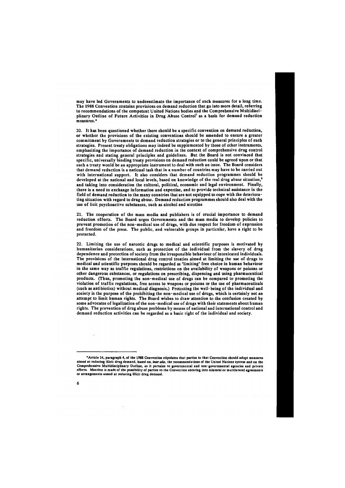may have led Governments to underestimate the importance of such measures for a long time. The 1988 Convention contains provisions on demand reduction that go into more detail, referring to recommendations of the competent United Nations bodies and the Comprehensive Multidisciplinary Outline of Future Activities in Drug Abuse Control<sup>7</sup> as a basis for demand reduction measures.\*

20. It has been questioned whether there should be a specific convention on demand reduction, or whether the provisions of the existing conventions should be amended to ensure a greater commitment by Governments to demand reduction strategies or to the general principles of such strategies. Present treaty obligations may indeed be supplemented by those of other instruments, emphasizing the importance of demand reduction in the context of comprehensive drug control strategies and stating general principles and guidelines. But the Board is not convinced that specific, universally binding treaty provisions on demand reduction could be agreed upon or that such a treaty would be an appropriate instrument to deal with such an issue. The Board considers that demand reduction is a national task that in a number of countries may have to be carried out with international support. It also considers that demand reduction programmes should be developed at the national and local levels, based on knowledge of the real drug abuse situation,<sup>8</sup> and taking into consideration the cultural, political, economic and legal environment. Finally, there is a need to exchange information and expertise, and to provide technical assistance in the field of demand reduction to the many countries that are not equipped to cope with the deteriorating situation with regard to drug abuse. Demand reduction programmes should also deal with the use of licit psychoactive substances, such as alcohol and nicotine

21. The cooperation of the mass media and publishers is of crucial importance to demand reduction efforts. The Board urges Governments and the mass media to develop policies to prevent promotion of the non-medical use of drugs, with due respect for freedom of expression and freedom of the press. The public, and vulnerable groups in particular, have a right to be protected.

22. Limiting the use of narcotic drugs to medical and scientific purposes is motivated by humanitarian considerations, such as protection of the individual from the slavery of drug dependence and protection of society from the irresponsible behaviour of intoxicated individuals. The provisions of the international drug control treaties aimed at limiting the use of drugs to medical and scientific purposes should be regarded as "limiting" free choice in human behaviour in the same way as traffic regulations, restrictions on the availability of weapons or poisons or other dangerous substances, or regulations on prescribing, dispensing and using pharmaceutical products. (Thus, promoting the non-medical use of drugs can be compared to promoting the violation of traffic regulations, free access to weapons or poisons or the use of pharmaceuticals (such as antibiotics) without medical diagnosis.) Protecting the well-being of the individual and society is the purpose of the prohibiting the non- medical use of drugs, which is certainly not an attempt to limit human rights. The Board wishes to draw attention to the confusion created by some advocates of legalization of the non-medical use of drugs with their statements about human rights. The prevention of drug abuse problems by means of national and international control and demand reduction activities can be regarded as a basic right of the individual and society.

efforts. Mention is made of the possibility of parties to the Convention entering into bilateral or multilateral agreements or arrangements aimed at reducing illicit drug demand.

<sup>&#</sup>x27;Article 14, paragraph 4, of the 1988 Convention stipulates that parties to that Convention should adopt measures aimed at reducing illicit drug demand, based on*, inter alia,* the recommendations of the United Nations system and on the Comprehensive Multidisciplinary Outline, as it pertains to governmental and non-governmental agencies and private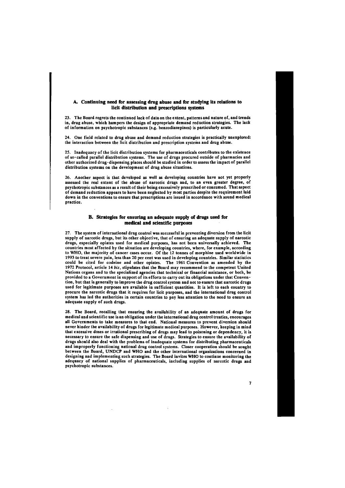# **A. Continuing need for assessing drug abuse and for studying its relations to licit distribution and prescriptions systems**

23. The Board regrets the continued lack of data on the extent, patterns and nature of, and trends in, drug abuse, which hampers the design of appropriate demand reduction strategies. The lack of information on psychotropic substances (e.g. benzodiazepines) is particularly acute.

24. One field related to drug abuse and demand reduction strategies is practically unexplored: the interaction between the licit distribution and prescription systems and drug abuse.

25. Inadequacy of the licit distribution systems for pharmaceuticals contributes to the existence of so-called parallel distribution systems. The use of drugs procured outside of pharmacies and other authorized drug-dispensing places should be studied in order to assess the impact of parallel distribution systems on the development of drug abuse situations.

26. Another aspect is that developed as well as developing countries have not yet properly assessed the real extent of the abuse of narcotic drugs and, to an even greater degree, of psychotropic substances as a result of their being excessively prescribed or consumed. That aspect of demand reduction appears to have been neglected by most parties despite the requirement laid down in the conventions to ensure that prescriptions are issued in accordance with sound medical practice.

# **B. Strategies for ensuring an adequate supply of drugs used for medical and scientific purposes**

27. The system of international drug control was successful in preventing diversion from the licit supply of narcotic drugs, but its other objective, that of ensuring an adequate supply of narcotic drugs, especially opiates used for medical purposes, has not been universally achieved. The countries most affected by the situation are developing countries, where, for example, according to WHO, the majority of cancer cases occur. Of the 12 tonnes of morphine used worldwide in 1993 to treat severe pain, less than 20 per cent was used in developing countries. Similar statistics could be cited for codeine and other opiates. The 1961 Convention as amended by the 1972 Protocol, article 14 *bis,* stipulates that the Board may recommend to the competent United Nations organs and to the specialized agencies that technical or financial assistance, or both, be provided to a Government in support of its efforts to carry out its obligations under that Convention, but that is generally to improve the drug control system and not to ensure that narcotic drugs used for legitimate purposes are available in sufficient quantities. It is left to each country to procure the narcotic drugs that it requires for licit purposes, and the international drug control system has led the authorities in certain countries to pay less attention to the need to ensure an adequate supply of such drugs.

28. The Board, recalling that ensuring the availability of an adequate amount of drugs for medical and scientific use is an obligation under the international drug control treaties, encourages all Governments to take measures to that end. National measures to prevent diversion should never hinder the availability of drugs for legitimate medical purposes. However, keeping in mind that excessive doses or irrational prescribing of drugs may lead to poisoning or dependency, it is necessary to ensure the safe dispensing and use of drugs. Strategies to ensure the availability of drugs should also deal with the problems of inadequate systems for distributing pharmaceuticals and improperly functioning national drug control systems. Closer cooperation should be sought between the Board, UNDCP and WHO and the other international organizations concerned in designing and implementing such strategies. The Board invites WHO to continue monitoring the adequacy of national supplies of pharmaceuticals, including supplies of narcotic drugs and psychotropic substances.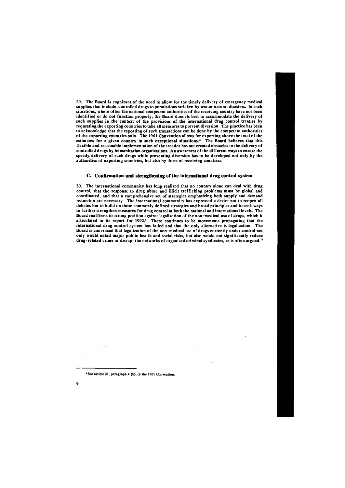29. The Board is cognizant of the need to allow for the timely delivery of emergency medical supplies that include controlled drugs to populations stricken by war or natural disasters. In such situations, where often the national competent authorities of the receiving country have not been identified or do not function properly, the Board does its best to.accommodate the delivery of such supplies in the context of the provisions of the international drug control treaties by requesting the exporting countries to take all measures to prevent diversion. The practice has been to acknowledge that the reporting of such transactions can be done by the competent authorities of the exporting countries only. The 1961 Convention allows for exporting above the total of the estimates for a given country in such exceptional situations.\* The Board believes that this flexible and reasonable implementation of the treaties has not created obstacles to the delivery of controlled drugs by humanitarian organizations. An awareness of the different ways to ensure the speedy delivery of such drugs while preventing diversion has to be developed not only by the authorities of exporting countries, but also by those of receiving countries.

30. The international community has long realized that no country alone can deal with drug control, that the response to drug abuse and illicit trafficking problems must be global and coordinated, and that a comprehensive set of strategies emphasizing both supply and demand reduction are necessary. The international community has expressed a desire not to reopen all debates but to build on those commonly defined strategies and broad principles and to seek ways to further strengthen measures for drug control at both the national and international levels. The Board reaffirms its strong position against legalization of the non-medical use of drugs, which it articulated in its report for 1992.<sup>9</sup> There continues to be movements propagating that the international drug control system has failed and that the only alternative is legalization. The Board is convinced that legalization of the non-medical use of drugs currently under control not only would entail major public health and social risks, but also would not significantly reduce drug-related crime or disrupt the networks of organized criminal syndicates, as is often argued.<sup>10</sup>

## **C. Confirmation and strengthening of the international drug control system**

**8** 

'See article 21, paragraph 4 (b), of the 1961 Convention.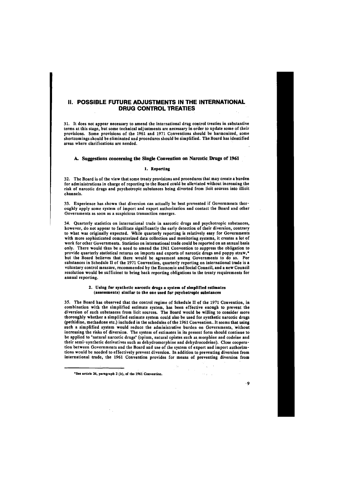# II. POSSIBLE FUTURE ADJUSTMENTS IN THE INTERNATIONAL DRUG CONTROL TREATIES

31. It does not appear necessary to amend the international drug control treaties in substantive terms at this stage, but some technical adjustments are necessary in order to update some of their provisions. Some provisions of the 1961 and 1971 Conventions should be harmonized, some shortcomings should be eliminated and procedures should be simplified. The Board has identified areas where clarifications are needed.

### **A. Suggestions concerning the Single Convention on Narcotic Drugs of 1961**

## **1. Reporting**

32. The Board is of the view that some treaty provisions and procedures that may create a burden for administrations in charge of reporting to the Board could be alleviated without increasing the risk of narcotic drugs and psychotropic substances being diverted from licit sources into illicit channels.

33. Experience has shown that diversion can actually be best prevented if Governments thoroughly apply some system of import and export authorization and contact the Board and other Governments as soon as a suspicious transaction emerges.

34. Quarterly statistics on international trade in narcotic drugs and psychotropic substances, however, do not appear to facilitate significantly the early detection of their diversion, contrary to what was originally expected. While quarterly reporting is relatively easy for Governments with more sophisticated computerized data collection and monitoring systems, it creates a lot of work for other Governments. Statistics on international trade could be reported on an annual basis only. There would thus be a need to amend the 1961 Convention to suppress the obligation to provide quarterly statistical returns on imports and exports of narcotic drugs and poppy straw,\* but the Board believes that there would be agreement among Governments to do so. For substances in Schedule II of the 1971 Convention, quarterly reporting on international trade is a voluntary control measure, recommended by the Economic and Social Council, and a new Council resolution would be sufficient to bring back reporting obligations to the treaty requirements for annual reporting.

#### **2. Using for synthetic narcotic drugs a system of simplified estimates (assessments) similar to the one used for psychotropic substances**

35. The Board has observed that the control regime of Schedule II of the 1971 Convention, in combination with the simplified estimate system, has been effective enough to prevent the diversion of such substances from licit sources. The Board would be willing to consider more thoroughly whether a simplified estimate system could also be used for synthetic narcotic drugs (pethidine, methadone etc.) included in the schedules of the 1961 Convention.. It seems that using such a simplified system would reduce the administrative burden on Governments, without increasing the risks of diversion. The system of estimates in its present form should continue to be applied to "natural narcotic drugs" (opium, natural opiates such as morphine and codeine and their semi-synthetic derivatives such as dehydromorphine and dehydrocodeine). Close cooperation between Governments and the Board and use of the system of export and import authorizations would be needed to effectively prevent diversion. In addition to preventing diversion from international trade, the 1961 Convention provides for means of preventing diversion from

 $\mathcal{L}^{\text{max}}_{\text{max}}$ 

\*See article 26, paragraph 2 (b), of the 1961 Convention.

**9** 

 $\langle\cdot\,\cdot\rangle_{E}=\langle\cdot\,\cdot\rangle$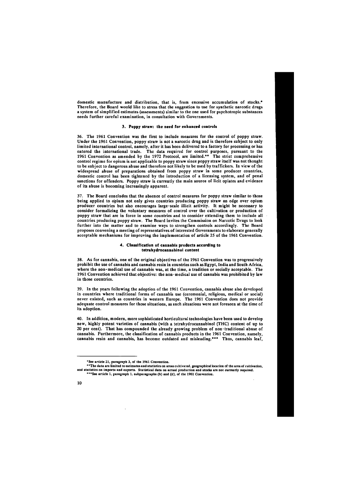domestic manufacture and distribution, that is, from excessive accumulation of stocks.\* Therefore, the Board would like to stress that the suggestion to use for synthetic narcotic drugs a system of simplified estimates (assessments) similar to the one used for psychotropic substances needs further careful examination, in consultation with Governments.

#### **3. Poppy straw: the need for enhanced controls**

36. The 1961 Convention was the first to include measures for the control of poppy straw. Under the 1961 Convention, poppy straw is not a narcotic drug and is therefore subject to only limited international control, namely, after it has been delivered to a factory for processing or has entered the international trade. The data required for control purposes, pursuant to the 1961 Convention as amended by the 1972 Protocol, are limited.\*\* The strict comprehensive control regime for opium is not applicable to poppy straw since poppy straw itself was not thought to be subject to dangerous abuse and therefore not likely to be used by traffickers. In view of the widespread abuse of preparations obtained from poppy straw in some producer countries, domestic control has been tightened by the introduction of a licensing system, and of penal sanctions for offenders. Poppy straw is currently the main source of licit opiates and evidence of its abuse is becoming increasingly apparent.

37. The Board concludes that the absence of control measures for poppy straw similar to those being applied to opium not only gives countries producing poppy straw an edge over opium producer countries but also encourages large-scale illicit activity. It might be necessary to consider formalizing the voluntary measures of control over the cultivation or production of poppy straw that are in force in some countries and to consider extending them to include all countries producing poppy straw. The Board invites the Commission on Narcotic Drugs to look further into the matter and to examine ways to strengthen controls accordingly. The Board proposes convening a meeting of representatives of interested Governments to elaborate generally acceptable mechanisms for improving the implementation of article 25 of the 1961 Convention.

and statistics on imports and exports. Statistical data on actual production and stocks are not currently required. \*\*\*See article 1, paragraph 1, subparagraphs (b) and (d), of the 1961 Convention.

#### **4. Classification of cannabis products according to tetrahydrocannabinol content**

38. As for cannabis, one of the original objectives of the 1961 Convention was to progressively prohibit the use of cannabis and cannabis resin in countries such as Egypt, India and South Africa, where the non-medical use of cannabis was, at the time, a tradition or socially acceptable. The 1961 Convention achieved that objective: the non-medical use of cannabis was prohibited by law in those countries.

39. In the years following the adoption of the 1961 Convention, cannabis abuse also developed in countries where traditional forms of cannabis use (ceremonial, religious, medical or social) never existed, such as countries in western Europe. The 1961 Convention does not provide adequate control measures for those situations, as such situations were not foreseen at the time of its adoption.

40. In addition, modern, more sophisticated horticultural technologies have been used to develop new, highly potent varieties of cannabis (with a tetrahydrocannabinol (THC) content of up to 20 per cent). That has compounded the already growing problem of non-traditional abuse of cannabis. Furthermore, the classification of cannabis products in the 1961 Convention, namely, cannabis resin and cannabis, has become outdated and misleading.\*\*\* Thus, cannabis leaf,

<sup>\*</sup>See article 21, paragraph 3, of the 1961 Convention.

<sup>\*\*</sup> The data are limited to estimates and statistics on areas cultivated, geographical location of the area of cultivation,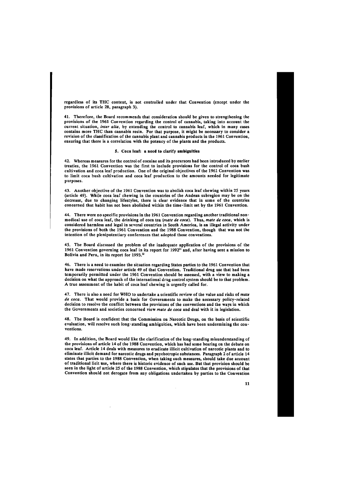regardless of its THC content, is not controlled under that Convention (except under the provisions of article 28, paragraph 3).

41. Therefore, the Board recommends that consideration should be given to strengthening the provisions of the 1961 Convention regarding the control of cannabis, taking into account the current situation, *inter alia,* by extending the control to cannabis leaf, which in many cases contains more THC than cannabis resin. For that purpose, it might be necessary to consider a revision of the classification of the cannabis plant and cannabis products in the 1961 Convention, ensuring that there is a correlation with the potency of the plants and the products.

#### 5. Coca leaf: a need to clarify ambiguities

42. Whereas measures for the control of cocaine and its precursors had been introduced by earlier treaties, the 1961 Convention was the first to include provisions for the control of coca bush cultivation and coca leaf production. One of the original objectives of the 1961 Convention was to limit coca bush cultivation and coca leaf production to the amounts needed for legitimate purposes.

43. Another objective of the 1961 Convention was to abolish coca leaf chewing within 25 years (article 49). While coca leaf chewing in the countries of the Andean subregion may be on the decrease, due to changing lifestyles, there is clear evidence that in some of the countries concerned that habit has not been abolished within the time-limit set by the 1961 Convention.

44. There were no specific provisions in the 1961 Convention regarding another traditional nonmedical use of coca leaf, the drinking of coca tea (i*mate de coca).* Thus, *mate de coca,* which is considered harmless and legal in several countries in South America, is an illegal activity under the provisions of both the 1961 Convention and the 1988 Convention, though that was not the intention of the plenipotentiary conferences that adopted those conventions.

45. The Board discussed the problem of the inadequate application of the provisions of the 1961 Convention governing coca leaf in its report for 1992" and, after having sent a mission to Bolivia and Peru, in its report for 1993.<sup>12</sup>

46. There is a need to examine the situation regarding States parties to the 1961 Convention that have made reservations under article 49 of that Convention. Traditional drug use that had been temporarily permitted under the 1961 Convention should be assessed, with a view to making a decision on what the approach of the international drug control system should be to that problem. A true assessment of the habit of coca leaf chewing is urgently called for.

47. There is also a need for WHO to undertake a scientific review of the value and risks of *mate de coca.* That would provide a basis for Governments to make the necessary policy-related decision to resolve the conflict between the provisions of the conventions and the ways in which the Governments and societies concerned view *mate de coca* and deal with it in legislation.

48. The Board is confident that the Commission on Narcotic Drugs, on the basis of scientific evaluation, will resolve such long-standing ambiguities, which have been undermining the conventions.

49. In addition, the Board would like the clarification of the long-standing misunderstanding of the provisions of article 14 of the 1988 Convention, which has had some bearing on the debate on coca leaf. Article 14 deals with measures to eradicate illicit cultivation of narcotic plants and to eliminate illicit demand for narcotic drugs and psychotropic substances. Paragraph 2 of article 14 states that parties to the 1988 Convention, when taking such measures, should take due account of traditional licit use, where there is historic evidence of such use. But that provision should be seen in the light of article 25 of the 1988 Convention, which stipulates that the provisions of that Convention should not derogate from any obligations undertaken by parties to the Convention

 $\sim$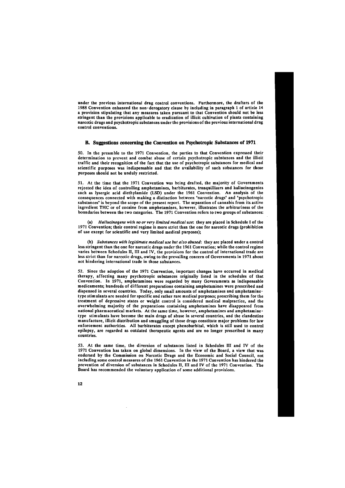under the previous international drug control conventions. Furthermore, the drafters of the 1988 Convention enhanced the non-derogatory clause by including in paragraph 1 of article 14 a provision stipulating that any measures taken pursuant to that Convention should not be less stringent than the provisions applicable to eradication of illicit cultivation of plants containing narcotic drugs and psychotropic substances under the provisions of the previous international drug control conventions.

#### **B. Suggestions concerning the Convention on Psychotropic Substances of 1971**

50. In the preamble to the 1971 Convention, the parties to that Convention expressed their determination to prevent and combat abuse of certain psychotropic substances and the illicit traffic and their recognition of the fact that the use of psychotropic substances for medical and scientific purposes was indispensable and that the availability of such substances for those purposes should not be unduly restricted.

51. At the time that the 1971 Convention was being drafted, the majority of Governments rejected the idea of controlling amphetamines, barbiturates, tranquillizers and hallucinogenics such as lysergic acid diethylamide (LSD) under the 1961 Convention. An analysis of the consequences connected with making a distinction between "narcotic drugs" and "psychotropic substances" is beyond the scope of the present report. The separation of cannabis from its active ingredient THC or of cocaine from amphetamines, however, illustrates the arbitrariness of the boundaries between the two categories. The 1971 Convention refers to two groups of substances:

(a) *Hallucinogens with no or very limited medical use:* they are placed in Schedule I of the 1971 Convention; their control regime is more strict than the one for narcotic drugs (prohibition of use except for scientific and very limited medical purposes);

(b) *Substances with legitimate medical use but also abused:* they are placed under a control less stringent than the one for narcotic drugs under the 1961 Convention; while the control regime varies between Schedules II, III and IV, the provisions for the control of international trade are less strict than for narcotic drugs, owing to the prevailing concern of Governments in 1971 about not hindering international trade in those substances.

52. Since the adoption of the 1971 Convention, important changes have occurred in medical therapy, affecting many psychotropic substances originally listed in the schedules of that Convention. In 1971, amphetamines were regarded by many Governments as indispensable medicaments; hundreds of different preparations containing amphetamines were prescribed and dispensed in several countries. Today, only small amounts of amphetamines and amphetaminetype stimulants are needed for specific and rather rare medical purposes; prescribing them for the treatment of depressive states or weight control is considered medical malpractice, and the overwhelming majority of the preparations containing amphetamines have disappeared from national pharmaceutical markets. At the same time, however, amphetamines and amphetaminetype stimulants have become the main drugs of abuse in several countries, and the clandestine manufacture, illicit distribution and smuggling of those drugs constitute major problems for law enforcement authorities. All barbiturates except phenobarbital, which is still used to control epilepsy, are regarded as outdated therapeutic agents and are no longer prescribed in many countries.

53. At the same time, the diversion of substances listed in Schedules III and IV of the 1971 Convention has taken on global dimensions. In the view of the Board, a view that was endorsed by the Commission on Narcotic Drugs and the Economic and Social Council, not including some control measures of the 1961 Convention in the 1971 Convention has hindered the prevention of diversion of substances in Schedules II, III and IV of the 1971 Convention. The Board has recommended the voluntary application of some additional provisions.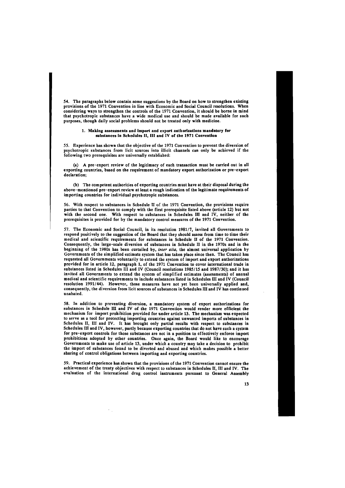54. The paragraphs below contain some suggestions by the Board on how to strengthen existing provisions of the 1971 Convention in line with Economic and Social Council resolutions. When considering ways to strengthen the controls of the 1971 Convention, it should be borne in mind that psychotropic substances have a wide medical use and should be made available for such purposes, though daily social problems should not be treated only with medicine.

#### 1. Making assessments and import and export authorizations mandatory for substances in Schedules II, III and IV of the 1971 Convention

55. Experience has shown that the objective of the 1971 Convention to prevent the diversion of psychotropic substances from licit sources into illicit channels can only be achieved if the following two prerequisites are universally established:

(a) A pre-export review of the legitimacy of each transaction must be carried out in all exporting countries, based on the requirement of mandatory export authorization or pre-export declaration;

(b) The competent authorities of exporting countries must have at their disposal during the above-mentioned pre-export review at least a rough indication of the legitimate requirements of importing countries for individual psychotropic substances.

56. With respect to substances in Schedule II of the 1971 Convention, the provisions require parties to that Convention to comply with the first prerequisite listed above (article 12) but not with the second one. With respect to substances in Schedules III and IV, neither of the prerequisites is provided for by the mandatory control measures of the 1971 Convention.

57. The Economic and Social Council, in its resolution 1981/7, invited all Governments to respond positively to the suggestion of the Board that they should assess from time to time their medical and scientific requirements for substances in Schedule II of the 1971 Convention. Consequently, the large-scale diversion of substances in Schedule II in the 1970s and in the beginning of the 1980s has been curtailed by, *inter alia,* the almost universal application by Governments of the simplified estimate system that has taken place since then. The Council has requested all Governments voluntarily to extend the system of import and export authorizations provided for in article 12, paragraph 1, of the 1971 Convention to cover international trade in substances listed in Schedules III and IV (Council resolutions 1985/15 and 1987/30); and it has invited all Governments to extend the system of simplified estimates (assessments) of annual medical and scientific requirements to include substances listed in Schedules III and IV (Council resolution 1991/44). However, those measures have not yet been universally applied and, consequently, the diversion from licit sources of substances in Schedules III and IV has continued unabated.

58. In addition to preventing diversion, a mandatory system of export authorizations for substances in Schedule III and IV of the 1971 Convention would render more efficient the mechanism for import prohibition provided for under article 13. The mechanism was expected to serve as a tool for protecting importing countries against unwanted imports of substances in Schedules II, III and IV. It has brought only partial results with respect to substances in Schedules III and IV, however, partly because exporting countries that do not have such a system for pre-export controls for those substances are not in a position to effectively enforce import prohibitions adopted by other countries. Once again, the Board would like to encourage Governments to make use of article 13, under which a country may take a decision to prohibit the import of substances found to be diverted and abused and which makes possible a better sharing of control obligations between importing and exporting countries.

59. Practical experience has shown that the provisions of the 1971 Convention cannot ensure the achievement of the treaty objectives with respect to substances in Schedules II, III and IV. The evaluation of the international drug control instruments pursuant to General Assembly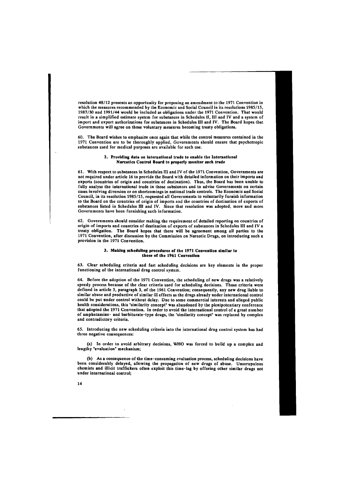resolution 48/12 presents an opportunity for proposing an amendment to the 1971 Convention in which the measures recommended by the Economic and Social Council in its resolutions 1985/15, 1987/30 and 1991/44 would be included as obligations under the 1971 Convention. That would result in a simplified estimate system for substances in Schedules II, III and IV and a system of import and export authorizations for substances in Schedules III and IV. The Board hopes that Governments will agree on those voluntary measures becoming treaty obligations.

60. The Board wishes to emphasize once again that while the control measures contained in the 1971 Convention are to be thoroughly applied, Governments should ensure that psychotropic substances used for medical purposes are available for such use.

## **2. Providing data on international trade to enable the International Narcotics Control Board to properly monitor such trade**

61. With respect to substances in Schedules III and IV of the 1971 Convention, Governments are not required under article 16 to provide the Board with detailed information on their imports and exports (countries of origin and countries of destination). Thus, the Board has been unable to fully analyse the international trade in those substances and to advise Governments on certain cases involving diversion or on shortcomings in national trade controls. The Economic and Social Council, in its resolution 1985/15, requested all Governments to voluntarily furnish information to the Board on the countries of origin of imports and the countries of destination of exports of substances listed in Schedules III and IV. Since that resolution was adopted, more and more Governments have been furnishing such information.

62. Governments should consider making the requirement of detailed reporting on countries of origin of imports and countries of destination of exports of substances in Schedules III and IV a treaty obligation. The Board hopes that there will be agreement among all parties to the 1971 Convention, after discussion by the Commission on Narcotic Drugs, on introducing such a provision in the 1971 Convention.

#### **3. Making scheduling procedures of the 1971 Convention similar to those of the 1961 Convention**

63. Clear scheduling criteria and fast scheduling decisions are key elements in the proper functioning of the international drug control system.

64. Before the adoption of the 1971 Convention, the scheduling of new drugs was a relatively speedy process because of the clear criteria used for scheduling decisions. Those criteria were defined in article 3, paragraph 3, of the 1961 Convention; consequently, any new drug liable to similar abuse and productive of similar ill effects as the drugs already under international control could be put under control without delay. Due to some commercial interests and alleged public health considerations, this "similarity concept" was abandoned by the plenipotentiary conference that adopted the 1971 Convention. In order to avoid the international control of a great number of amphetamine- and barbiturate-type drugs, the "similarity concept" was replaced by complex and contradictory criteria.

65. Introducing the new scheduling criteria into the international drug control system has had three negative consequences:

(a) In order to avoid arbitrary decisions, WHO was forced to build up a complex and lengthy "evaluation" mechanism;

(b) As a consequence of the time-consuming evaluation process, scheduling decisions have been considerably delayed, allowing the propagation of new drugs of abuse. Unscrupulous chemists and illicit traffickers often exploit this time-lag by offering other similar drug under international control;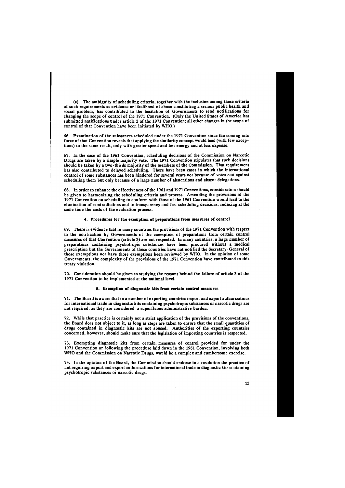(c) The ambiguity of scheduling criteria, together with the inclusion among those criteria of such requirements as evidence or likelihood of abuse constituting a serious public health and social problem, has contributed to the hesitation of Governments to send notifications for changing the scope of control of the 1971 Convention. (Only the United States of America has submitted notifications under article 2 of the 1971 Convention; all other changes in the scope of control of that Convention have been initiated by WHO.)

66. Examination of the substances scheduled under the 1971 Convention since the coming into force of that Convention reveals that applying the similarity concept would lead (with few exceptions) to the same result, only with greater speed and less energy and at less expense.

67. In the case of the 1961 Convention, scheduling decisions of the Commission on Narcotic Drugs are taken by a simple majority vote. The 1971 Convention stipulates that such decisions should be taken by a two-thirds majority of the members of the Commission. That requirement has also contributed to delayed scheduling. There have been cases in which the international control of some substances has been hindered for several years not because of votes cast against scheduling them but only because of a large number of abstentions and absent delegations.

68. In order to enhance the effectiveness of the 1961 and 1971 Conventions, consideration should be given to harmonizing the scheduling criteria and process. Amending the provisions of the 1971 Convention on scheduling to conform with those of the 1961 Convention would lead to the elimination of contradictions and to transparency and fast scheduling decisions, reducing at the same time the costs of the evaluation process.

#### **4. Procedures for the exemption of preparations from measures of control**

69. There is evidence that in many countries the provisions of the 1971 Convention with respect to the notification by Governments of the exemption of preparations from certain control measures of that Convention (article 3) are not respected. In many countries, a large number of preparations containing psychotropic substances have been procured without a medical prescription but the Governments of those countries have not notified the Secretary-General of those exemptions nor have those exemptions been reviewed by WHO. In the opinion of some Governments, the complexity of the provisions of the 1971 Convention have contributed to this treaty violation.

70. Consideration should be given to studying the reasons behind the failure of article 3 of the 1971 Convention to be implemented at the national level.

#### **5. Exemption of diagnostic kits from certain control measures**

71. The Board is aware that in a number of exporting countries import and export authorizations for international trade in diagnostic kits containing psychotropic substances or narcotic drugs are not required, as they are considered a superfluous administrative burden.

72. While that practice is certainly not a strict application of the provisions of the conventions, the Board does not object to it, as long as steps are taken to ensure that the small quantities of drugs contained in diagnostic kits are not abused. Authorities of the exporting countries concerned, however, should make sure that the legislation of importing countries is respected.

73. Exempting diagnostic kits from certain measures of control provided for under the 1971 Convention or following the procedure laid down in the 1961 Convention, involving both WHO and the Commission on Narcotic Drugs, would be a complex and cumbersome exercise.

74. In the opinion of the Board, the Commission should endorse in a resolution the practice of not requiring import and export authorizations for international trade in diagnostic kits containing

psychotropic substances or narcotic drugs.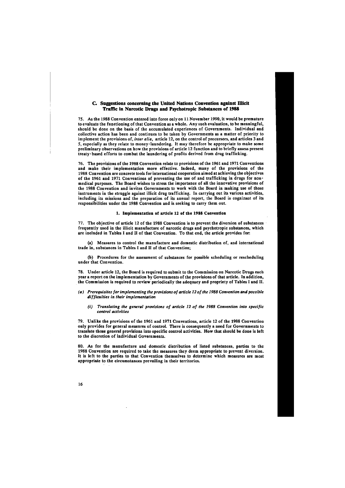# **C. Suggestions concerning the United Nations Convention against Illicit Traffic in Narcotic Drugs and Psychotropic Substances of 1988**

75. As the 1988 Convention entered into force only on 11 November 1990, it would be premature to evaluate the functioning of that Convention as a whole. Any such evaluation, to be meaningful, should be done on the basis of the accumulated experiences of Governments. Individual and collective action has been and continues to be taken by Governments as a matter of priority to implement the provisions of, *inter alia,* article 12, on the control of precursors, and articles 3 and 5, especially as they relate to money-laundering. It may therefore be appropriate to make some preliminary observations on how the provisions of article 12 function and to briefly assess present treaty-based efforts to combat the laundering of profits derived from drug trafficking.

76. The provisions of the 1988 Convention relate to provisions of the 1961 and 1971 Conventions and make their implementation more effective. Indeed, many of the provisions of the 1988 Convention are concrete tools for international cooperation aimed at achieving the objectives of the 1961 and 1971 Conventions of preventing the use of and trafficking in drugs for nonmedical purposes. The Board wishes to stress the importance of all the innovative provisions of the 1988 Convention and invites Governments to work with the Board in making use of those instruments in the struggle against illicit drug trafficking. In carrying out its various activities, including its missions and the preparation of its annual report, the Board is cognizant of its responsibilities under the 1988 Convention and is seeking to carry them out.

#### **1. Implementation of article 12 of the 1988 Convention**

77. The objective of article 12 of the 1988 Convention is to prevent the diversion of substances frequently used in the illicit manufacture of narcotic drugs and psychotropic substances, which are included in Tables I and II of that Convention. To that end, the article provides for:

(a) Measures to control the manufacture and domestic distribution of, and international trade in, substances in Tables I and II of that Convention;

(b) Procedures for the assessment of substances for possible scheduling or rescheduling under that Convention.

78. Under article 12, the Board is required to submit to the Commission on Narcotic Drugs each year a report on the implementation by Governments of the provisions of that article. In addition, the Commission is required to review periodically the adequacy and propriety of Tables I and II.

- *(a) Prerequisites for implementing the provisions of article 12 of the 1988 Convention and possible difficulties in their implementation* 
	- *(i) Translating the general provisions of article 12 of the 1988 Convention into specific control activities*

79. Unlike the provisions of the 1961 and 1971 Conventions, article 12 of the 1988 Convention only provides for general measures of control. There is consequently a need for Governments to translate those general provisions into specific control activities. How that should be done is left to the discretion of individual Governments.

80. As for the manufacture and domestic distribution of listed substances, parties to the 1988 Convention are required to take the measures they deem appropriate to prevent diversion. It is left to the parties to that Convention themselves to determine which measures are most appropriate to the circumstances prevailing in their territories.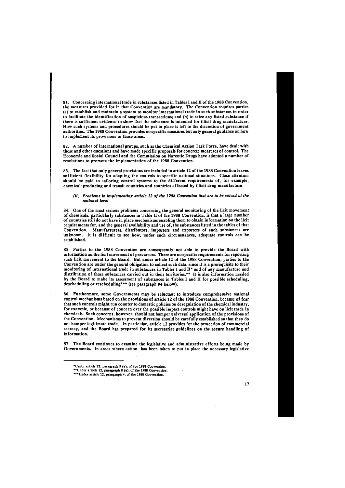81. Concerning international trade in substances listed in Tables I and II of the 1988 Convention, the measures provided for in that Convention are mandatory. The Convention requires parties (a) to establish and maintain a system to monitor international trade in such substances in order to facilitate the identification of suspicious transactions; and (b) to seize any listed substance if there is sufficient evidence to show that the substance is intended for illicit drug manufacture. How such systems and procedures should be put in place is left to the discretion of government authorities. The 1988 Convention provides no specific measures but only general guidance on how to implement its provisions in those areas.

82. A number of international groups, such as the Chemical Action Task Force, have dealt with these and other questions and have made specific proposals for concrete measures of control. The Economic and Social Council and the Commission on Narcotic Drugs have adopted a number of resolutions to promote the implementation of the 1988 Convention.

83. The fact that only general provisions are included in article 12 of the 1988 Convention leaves sufficient flexibility for adapting the controls to specific national situations. Close attention should be paid to tailoring control systems to the different requirements of, for example, chemical-producing and transit countries and countries affected by illicit drug manufacture.

#### *(ii) Problems in implementing article 12 of the 1988 Convention that are to be solved at the national level*

84. One of the most serious problems concerning the general monitoring of the licit movement of chemicals, particularly substances in Table II of the 1988 Convention, is that a large number of countries still do not have in place mechanisms enabling them to obtain information on the licit requirements for, and the general availability and use of, the substances listed in the tables of that Convention. Manufacturers, distributors, importers and exporters of such substances are unknown. It is difficult to see how, under such circumstances, adequate controls can be established.

85. Parties to the 1988 Convention are consequently not able to provide the Board with information on the licit movement of precursors. There are no specific requirements for reporting such licit movement to the Board. But under article 12 of the 1988 Convention, parties to the Convention are under the general obligation to collect such data, since it is a prerequisite to their monitoring of international trade in substances in Tables I and II\* and of any manufacture and distribution of those substances carried out in their territories.\*\* It is also information needed by the Board to make its assessment of substances in Tables I and II for possible scheduling, descheduling or rescheduling\*\*\* (see paragraph 94 below).

86. Furthermore, some Governments may be reluctant to introduce comprehensive national control mechanisms based on the provisions of article 12 of the 1988 Convention, because of fear that such controls might run counter to domestic policies on deregulation of the chemical industry, for example, or because of concern over the possible impact controls might have on licit trade in chemicals. Such concerns, however, should not hamper universal application of the provisions of the Convention. Mechanisms to prevent diversion should be carefully established so that they do not hamper legitimate trade. In particular, article 12 provides for the protection of commercial secrecy, and the Board has prepared for its secretariat guidelines on the secure handling of information.

87. The Board continues to examine the legislative and administrative efforts being made by Governments. In areas where action has been taken to put in place the necessary legislative

 $\sim 10^7$ 

"Under article 12, paragraph 8 (a), of the 1988 Convention. ""Under article 12, paragraph 4, of the 1988 Convention.

<sup>&</sup>quot;Under article 12, paragraph 9 (a), of the 1988 Convention.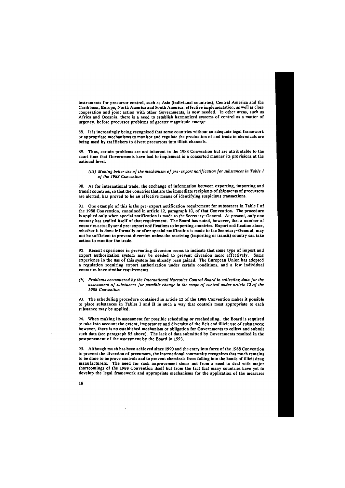instruments for precursor control, such as Asia (individual countries), Central America and the Caribbean, Europe, North America and South America, effective implementation, as well as close cooperation and joint action with other Governments, is now needed. In other areas, such as Africa and Oceania, there is a need to establish harmonized systems of control as a matter of urgency, before precursor problems of greater magnitude emerge.

88. It is increasingly being recognized that some countries without an adequate legal framework or appropriate mechanisms to monitor and regulate the production of and trade in chemicals are being used by traffickers to divert precursors into illicit channels.

89. Thus, certain problems are not inherent in the 1988 Convention but are attributable to the short time that Governments have had to implement in a concerted manner its provisions at the national level.

## *(iii) Making better use of the mechanism of pre-ex port notification for substances in Table I of the 1988 Convention*

90. As for international trade, the exchange of information between exporting, importing and transit countries, so that the countries that are the immediate recipients of shipments of precursors are alerted, has proved to be an effective means of identifying suspicious transactions.

91. One example of this is the pre-export notification requirement for substances in Table I of the 1988 Convention, contained in article 12, paragraph 10, of that Convention. The procedure is applied only when special notification is made to the Secretary-General. At present, only one country has availed itself of that requirement. The Board has noted, however, that a number of countries actually send pre-export notifications to importing countries. Export notification alone, whether it is done informally or after special notification is made to the Secretary-General, may not be sufficient to prevent diversion unless the receiving (importing or transit) country can take action to monitor the trade.

92. Recent experience in preventing diversion seems to indicate that some type of import and export authorization system may be needed to prevent diversion more effectively. Some experience in the use of this system has already been gained. The European Union has adopted a regulation requiring export authorization under certain conditions, and a few individual countries have similar requirements.

## *(b) Problems encountered by the International Narcotics Control Board in collecting data for the assessment of substances for possible change in the scope of control under article 12 of the 1988 Convention*

93. The scheduling procedure contained in article 12 of the 1988 Convention makes it possible to place substances in Tables I and II in such a way that controls most appropriate to each substance may be applied.

94. When making its assessment for possible scheduling or rescheduling, the Board is required to take into account the extent, importance and diversity of the licit and illicit use of substances; however, there is no established mechanism or obligation for Governments to collect and submit such data (see paragraph 85 above). The lack of data submitted by Governments resulted in the postponement of the assessment by the Board in 1993.

95. Although much has been achieved since 1990 and the entry into force of the 1988 Convention to prevent the diversion of precursors, the international community recognizes that much remains to be done to improve controls and to prevent chemicals from falling into the hands of illicit drug manufacturers. The need for such improvement stems not from a need to deal with major shortcomings of the 1988 Convention itself but from the fact that many countries have yet to develop the legal framework and appropriate mechanisms for the application of the measures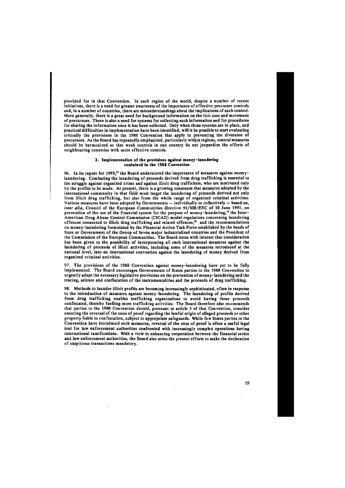provided for in that Convention. In each region of the world, despite a number of recent initiatives, there is a need for greater awareness of the importance of effective precursor controls and, in a number of countries, there are misunderstandings about the implications of such control. More generally, there is a great need for background information on the licit uses and movement of precursors. There is also a need for systems for collecting such information and for procedures for sharing the information once it has been collected. Only when those systems are in place, and practical difficulties in implementation have been identified, will it be possible to start evaluating critically the provisions in the 1988 Convention that apply to preventing the diversion of precursors. As the Board has repeatedly emphasized, particularly within regions, control measures should be harmonized so that weak controls in one country do not jeopardize the efforts of neighbouring countries with more effective controls.

#### **2. Implementation of the provisions against money-laundering contained in the 1988 Convention**

96. In its report for 1993,<sup>13</sup> the Board underscored the importance of measures against moneylaundering. Combating the laundering of proceeds derived from drug trafficking is essential to the struggle against organized crime and against illicit drug traffickers, who are motivated only by the profits to be made. At present, there is a growing consensus that measures adopted by the international community in that field must target the laundering of proceeds derived not only from illicit drug trafficking, but also from the whole range of organized criminal activities. Various measures have been adopted by Governments — individually or collectively — based on, *inter alia,* Council of the European Communities directive 91/308/EEC of 10 June 1991, on prevention of the use of the financial system for the purpose of money-laundering,<sup>14</sup> the Inter-American Drug Abuse Control Commission (CICAD) model regulations concerning laundering offences connected to illicit drug trafficking and related offences,<sup>15</sup> and the recommendations on money-laundering formulated by the Financial Action Task Force established by the heads of State or Government of the Group of Seven major industrialized countries and the President of the Commission of the European Communities. The Board notes with interest that consideration has been given to the possibility of incorporating all such international measures against the laundering of proceeds of illicit activities, including some of the measures introduced at the national level, into an international convention against the laundering of money derived from organized criminal activities.

97. The provisions of the 1988 Convention against money-laundering have yet to be fully implemented. The Board encourages Governments of States parties to the 1988 Convention to urgently adopt the necessary legislative provisions on the prevention of money-laundering and the tracing, seizure and confiscation of the instrumentalities and the proceeds of drug trafficking.

98. Methods to launder illicit profits are becoming increasingly sophisticated, often in response to the introduction of measures against money-laundering. The laundering of profits derived from drug trafficking enables trafficking organizations to avoid having those proceeds confiscated, thereby fuelling more trafficking activities. The Board therefore also recommends that parties to the 1988 Convention should, pursuant to article S of that Convention, consider ensuring the reversal of the onus of proof regarding the lawful origin of alleged proceeds or other property liable to confiscation, subject to appropriate safeguards. While few States parties to the Convention have introduced such measures, reversal of the onus of proof is often a useful legal tool for law enforcement authorities confronted with increasingly complex operations having international ramifications. With a view to enhancing cooperation between the financial sector and law enforcement authorities, the Board also notes the present efforts to make the declaration of suspicious transactions mandatory.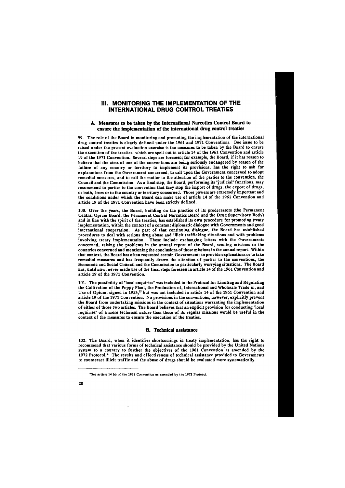# III. MONITORING THE IMPLEMENTATION OF THE INTERNATIONAL DRUG CONTROL TREATIES

# **A. Measures to be taken by the International Narcotics Control Board to ensure the implementation of the international drug control treaties**

99. The role of the Board in monitoring and promoting the implementation of the international drug control treaties is clearly defined under the 1961 and 1971 Conventions. One issue to be raised under the present evaluation exercise is the measures to be taken by the Board to ensure the execution of the treaties, which are spelt out in article 14 of the 1961 Convention and article 19 of the 1971 Convention. Several steps are foreseen; for example, the Board, if it has reason to believe that the aims of one of the conventions are being seriously endangered by reason of the failure of any country or territory to implement its provisions, has the right to ask for explanations from the Government concerned, to call upon the Government concerned to adopt remedial measures, and to call the matter to the attention of the parties to the convention, the Council and the Commission. As a final step, the Board, performing its "judicial" functions, may recommend to parties to the convention that they stop the import of drugs, the export of drugs, or both, from or to the country or territory concerned. Those powers are extremely important and the conditions under which the Board can make use of article 14 of the 1961 Convention and article 19 of the 1971 Convention have been strictly defined.

100. Over the years, the Board, building on the practice of its predecessors (the Permanent Central Opium Board, the Permanent Central Narcotics Board and the Drug Supervisory Body) and in line with the spirit of the treaties, has established its own procedure for promoting treaty implementation, within the context of a constant diplomatic dialogue with Governments and good international cooperation. As part of that continuing dialogue, the Board has established procedures to deal with serious drug abuse and illicit trafficking situations and with problems involving treaty implementation. Those include exchanging letters with the Governments concerned, raising the problems in the annual report of the Board, sending missions to the countries concerned and mentioning the conclusions of those missions in the annual report. Within that context, the Board has often requested certain Governments to provide explanations or to take remedial measures and has frequently drawn the attention of parties to the conventions, the Economic and Social Council and the Commission to particularly worrying situations. The Board has, until now, never made use of the final steps foreseen in article 14 of the 1961 Convention and article 19 of the 1971 Convention.

101. The possibility of "local enquiries" was included in the Protocol for Limiting and Regulating the Cultivation of the Poppy Plant, the Production of, International and Wholesale Trade in, and Use of Opium, signed in 1953,<sup>15</sup> but was not included in article 14 of the 1961 Convention and article 19 of the 1971 Convention. No provisions in the conventions, however, explicitly prevent the Board from undertaking missions in the context of situations warranting the implementation of either of those two articles. The Board believes that an explicit provision for conducting "local inquiries" of a more technical nature than those of its regular missions would be useful in the context of the measures to ensure the execution of the treaties.

# **B. Technical assistance**

102. The Board, when it identifies shortcomings in treaty implementation, has the right to recommend that various forms of technical assistance should be provided by the United Nations system to a country to further the objectives of the 1961 Convention as amended by the 1972 Protocol.\* The results and effectiveness of technical assistance provided to Governments to counteract illicit traffic and the abuse of drugs should be evaluated more systematically.

'See article 14 *bis* of the 1961 Convention as amended by the 1972 Protocol.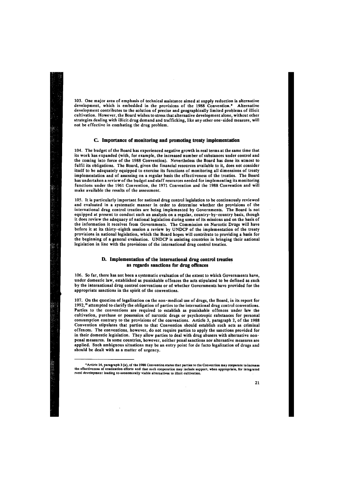103. One major area of emphasis of technical assistance aimed at supply reduction is alternative development, which is embedded in the provisions of the 1988 Convention.\* Alternative development contributes to the solution of precise and geographically limited problems of illicit cultivation. However, the Board wishes to stress that alternative development alone, without other strategies dealing with illicit drug demand and trafficking, like any other one-sided measure, will not be effective in combating the drug problem.

## **C. Importance of monitoring and promoting treaty implementation**

104. The budget of the Board has experienced negative growth in real terms at the same time that its work has expanded (with, for example, the increased number of substances under control and the coming into force of the 1988 Convention). Nevertheless the Board has done its utmost to fulfil its obligations. The Board, given the financial resources available to it, does not consider itself to be adequately equipped to exercise its functions of monitoring all dimensions of treaty implementation and of assessing on a regular basis the effectiveness of the treaties. The Board has undertaken a review of the budget and staff resources needed for implementing its monitoring functions under the 1961 Convention, the 1971 Convention and the 1988 Convention and will make available the results of the assessment.

105. It is particularly important for national drug control legislation to be continuously reviewed and evaluated in a systematic manner in order to determine whether the provisions of the international drug control treaties are being implemented by Governments. The Board is not equipped at present to conduct such an analysis on a regular, country-by-country basis, though it does review the adequacy of national legislation during some of its missions and on the basis of the information it receives from Governments. The Commission on Narcotic Drugs will have before it at its thirty-eighth session a review by UNDCP of the implementation of the treaty provisions in national legislation, which the Board hopes will contribute to providing a basis for the beginning of a general evaluation. UNDCP is assisting countries in bringing their national legislation in line with the provisions of the international drug control treaties.

the effectiveness of eradication efforts and that such cooperation may include support, when appropriate, for inte rural development leading to economically viable alternatives to illicit cultivation.

# **D. Implementation of the international drag control treaties as regards sanctions for drag offences**

106. So far, there has not been a systematic evaluation of the extent to which Governments have, under domestic law, established as punishable offences the acts stipulated to be defined as such by the international drug control conventions or of whether Governments have provided for the appropriate sanctions in the spirit of the conventions.

107. On the question of legalization on the non-medical use of drugs, the Board, in its report for 1992,<sup>16</sup> attempted to clarify the obligation of parties to the international drug control conventions. Parties to the conventions are required to establish as punishable offences under law the cultivation, purchase or possession of narcotic drugs or psychotropic substances for personal consumption contrary to the provisions of the conventions. Article 3, paragraph 2, of the 1988 Convention stipulates that parties to that Convention should establish such acts as criminal offences. The conventions, however, do not require parties to apply the sanctions provided for in their domestic legislation. They allow parties to deal with drug abusers with alternative nonpenal measures. In some countries, however, neither penal sanctions nor alternative measures are applied. Such ambiguous situations may be an entry point for de facto legalization of drugs and should be dealt with as a matter of urgency.

<sup>•</sup>Article 14, paragraph 3 (a), of the 1988 Convention states that parties to the Convention may cooperate to increase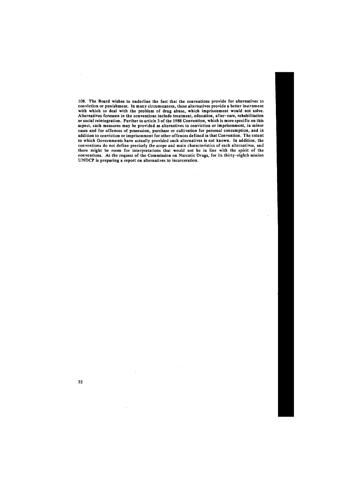108. The Board wishes to underline the fact that the conventions provide for alternatives to conviction or punishment. In many circumstances, those alternatives provide a better instrument with which to deal with the problem of drug abuse, which imprisonment would not solve. Alternatives foreseen in the conventions include treatment, education, after-care, rehabilitation or social reintegration. Further to article 3 of the 1988 Convention, which is more specific on this aspect, such measures may be provided as alternatives to conviction or imprisonment, in minor cases and for offences of possession, purchase or cultivation for personal consumption, and in addition to conviction or imprisonment for other offences defined in that Convention. The extent to which Governments have actually provided such alternatives is not known. In addition, the conventions do not define precisely the scope and main characteristics of such alternatives, and there might be room for interpretations that would not be in line with the spirit of the conventions. At the request of the Commission on Narcotic Drugs, for its thirty-eighth session UNDCP is preparing a report on alternatives to incarceration.

 $\bar{z}$ 

**22** 

 $\mathcal{L}$ 

 $\sim$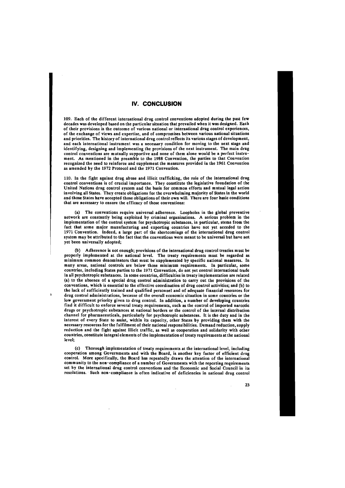# IV. CONCLUSION

109. Each of the different international drug control conventions adopted during the past few decades was developed based on the particular situation that prevailed when it was designed. Each of their provisions is the outcome of various national or international drug control experiences, of the exchange of views and expertise, and of compromises between various national situations and priorities. The history of international drug control reflects its various stages of development, and each international instrument was a necessary condition for moving to the next stage and identifying, designing and implementing the provisions of the next instrument. The main drug control conventions are mutually supportive and none of them alone would be a perfect instrument. As mentioned in the preamble to the 1988 Convention, the parties to that Convention recognized the need to reinforce and supplement the measures provided in the 1961 Convention as amended by the 1972 Protocol and the 1971 Convention.

110. In the fight against drug abuse and illicit trafficking, the role of the international drug control conventions is of crucial importance. They constitute the legislative foundation of the United Nations drug control system and the basis for common efforts and mutual legal action involving all States. They create obligations for the overwhelming majority of States in the world and those States have accepted those obligations of their own will. There are four basic conditions that are necessary to ensure the efficacy of those conventions:

(a) The conventions require universal adherence. Loopholes in the global preventive network are constantly being exploited by criminal organizations. A serious problem in the implementation of the control system for psychotropic substances, in particular, stems from the fact that some major manufacturing and exporting countries have not yet acceded to the 1971 Convention. Indeed, a large part of the shortcomings of the international drug control system may be attributed to the fact that the conventions were meant to be universal but have not yet been universally adopted;

(b) Adherence is not enough; provisions of the international drug control treaties must be properly implemented at the national level. The treaty requirements must be regarded as minimum common denominators that must be supplemented by specific national measures. In many areas, national controls are below those minimum requirements. In particular, some countries, including States parties to the 1971 Convention, do not yet control international trade in all psychotropic substances. In some countries, difficulties in treaty implementation are related (a) to the absence of a special drug control administration to carry out the provisions of the conventions, which is essential to the effective coordination of drug control activities; and (b) to the lack of sufficiently trained and qualified personnel and of adequate financial resources for drug control administrations, because of the overall economic situation in some countries or the low government priority given to drug control. In addition, a number of developing countries find it difficult to enforce several treaty requirements, such as the control of imported narcotic drugs or psychotropic substances at national borders or the control of the internal distribution channel for pharmaceuticals, particularly for psychotropic substances. It is the duty and in the interest of every State to assist, within its capacity, other States by providing them with the necessary resources for the fulfilment of their national responsibilities. Demand reduction, supply reduction and the fight against illicit traffic, as well as cooperation and solidarity with other countries, constitute integral elements of the implementation of treaty requirements at the national level;

≸

(c) Thorough implementation of treaty requirements at the international level, including cooperation among Governments and with the Board, is another key factor of efficient drug control. More specifically, the Board has repeatedly drawn the attention of the international community to the non-compliance of a number of Governments with the reporting requirements set by the international drug control conventions and the Economic and Social Council in its

resolutions. Such non-compliance is often indicative of deficiencies in national drug control

 $\sim$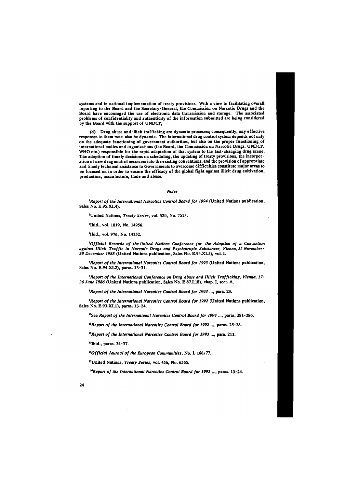systems and in national implementation of treaty provisions. With a view to facilitating overall reporting to the Board and the Secretary-General, the Commission on Narcotic Drugs and the Board have encouraged the use of electronic data transmission and storage. The associated problems of confidentiality and authenticity of the information submitted are being considered by the Board with the support of UNDCP;

(d) Drug abuse and illicit trafficking are dynamic processes; consequently, any effective responses to them must also be dynamic. The international drug control system depends not only on the adequate functioning of government authorities, but also on the proper functioning of international bodies and organizations (the Board, the Commission on Narcotic Drugs, UNDCP, WHO etc.) responsible for the rapid adaptation of that system to the fast-changing drug scene. The adoption of timely decisions on scheduling, the updating of treaty provisions, the incorporation of new drug control measures into the existing conventions, and the provision of appropriate and timely technical assistance to Governments to overcome difficulties constitute major areas to be focused on in order to ensure the efficacy of the global fight against illicit drug cultivation, production, manufacture, trade and abuse.

#### *Notes*

*<sup>1</sup>Report of the International Narcotics Control Board for 1994* (United Nations publication, Sales No. E.95.XI.4).

<sup>2</sup>United Nations, *Treaty Series*, vol. 520, No. 7515.

•Ibid., vol. 1019, No. 14956.

4 Ibid., vol. 976, No. 14152.

*<sup>5</sup>Official Records of the United Nations Conference for the Adoption of a Convention against Illicit Traffic in Narcotic Drugs and Psychotropic Substances, Vienna, 25 November-20 December 1988* (United Nations publication, Sales No. E.94.XI.5), vol. I.

*<sup>6</sup>Report of the International Narcotics Control Board for 1993* (United Nations publication, Sales No. E.94.XI.2), paras. 13-31.

*''Report of the International Conference on Drug Abuse and Illicit Trafficking, Vienna, 17- 26 June 1986* (United Nations publication, Sales No. E.87.I.18), chap. I, sect. A.

*<sup>8</sup>Report of the International Narcotics Control Board for 1993* ..., para. 23.

*<sup>9</sup>Report of the International Narcotics Control Board for 1992* (United Nations publication, Sales No. E.93.XI.1), paras. 13-24.

<sup>10</sup>See *Report of the International Narcotics Control Board for 1994* ..., paras. 281-286.

*<sup>n</sup>Report of the International Narcotics Control Board for 1992* ..., paras. 25-28.

*<sup>12</sup>Report of the International Narcotics Control Board for 1993* ..., para. 211.

<sup>13</sup>Ibid., paras. 34-37.

*<sup>14</sup>Official Journal of the European Communities,* No. L 166/77.

"United Nations, *Treaty Series*, vol. 456, No. 6555.

*<sup>u</sup>Report of the International Narcotics Control Board for 1992* ..., paras. 13-24.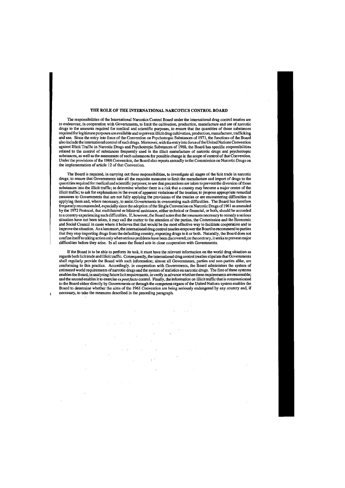### THE ROLE OF THE INTERNATIONAL NARCOTICS CONTROL BOARD

The responsibilities of the International Narcotics Control Board under the international drug control treaties are to endeavour, in cooperation with Governments, to limit the cultivation, production, manufacture and use of narcotic drugs to the amounts required for medical and scientific purposes, to ensure that the quantities of those substances required for legitimate purposes are available and to prevent illicit drug cultivation, production, manufacture, trafficking and use. Since the entry into force of the Convention on Psychotropic Substances of 1971, the functions of the Board also include the international control of such drugs. Moreover, with the entry into force of the United Nations Convention against Illicit Traffic in Narcotic Drugs and Psychotropic Substances of 1988, the Board has specific responsibilities related to the control of substances frequently used in the illicit manufacture of narcotic drugs and psychotropic substances, as well as the assessment of such substances for possible change in the scope of control of that Convention. Under the provisions of the 1988 Convention, the Board also reports annually to the Commission on Narcotic Drugs on the implementation of article 12 of that Convention.

The Board is required, in carrying out these responsibilities, to investigate all stages of the licit trade in narcotic drugs; to ensure that Governments take all the requisite measures to limit the manufacture and import of drugs to the quantities required for medical and scientific purposes; to see that precautions are taken to prevent the diversion of those substances into the illicit traffic; to determine whether there is a risk that a country may become a major centre of the illicit traffic; to ask for explanations in the event of apparent violations of the treaties; to propose appropriate remedial measures to Governments that are not fully applying the provisions of the treaties or are encountering difficulties in applying them and, where necessary, to assist Governments in overcoming such difficulties. The Board has therefore frequently recommended, especially since the adoption of the Single Convention on Narcotic Drugs of 1961 as amended by the 1972 Protocol, that multilateral or bilateral assistance, either technical or financial, or both, should be accorded to a country experiencing such difficulties. If, however, the Board notes that the measures necessary to remedy a serious situation have not been taken, it may call the matter to the attention of the parties, the Commission and the Economic and Social Council in cases where it believes that that would be the most effective way to facilitate cooperation and to improve the situation. As a last resort, the international drug control treaties empower the Board to recommend to parties that they stop importing drugs from the defaulting country, exporting drugs to it or both. Naturally, the Board does not confine itself to taking action only when serious problems have been discovered; on the contrary, it seeks to prevent major difficulties before they arise. In all cases the Board acts in close cooperation with Governments.

If the Board is to be able to perform its task, it must have the relevant information on the world drug situation as regards both licit trade and illicit traffic. Consequently, the international drug control treaties stipulate that Governments shall regularly provide the Board with such information; almost all Governments, parties and non-parties alike, are conforming to this practice. Accordingly, in cooperation with Governments, the Board administers the system of estimated world requirements of narcotic drugs and the system of statistics on narcotic drugs. The first of these systems enables the Board, in analysing future licit requirements, to verify in advance whether these requirements are reasonable; and the second enables it to exercise *ex post facto* control. Finally, the information on illicit traffic that is communicated to the Board either directly by Governments or through the competent organs of the United Nations system enables the Board to determine whether the aims of the 1961 Convention are being seriously endangered by any country and, if necessary, to take the measures described in the preceding paragraph.

 $\mathcal{L}^{\mathcal{L}}(\mathcal{A})$  and  $\mathcal{L}^{\mathcal{L}}(\mathcal{A})$  and  $\mathcal{L}^{\mathcal{L}}(\mathcal{A})$  and  $\mathcal{L}^{\mathcal{L}}(\mathcal{A})$ 

 $\mathcal{O}(\log n)$  .  $\mathcal{O}(\mathbf{A}^{\mathrm{max}})$  . The  $\mathcal{O}(\mathbf{A}^{\mathrm{max}})$